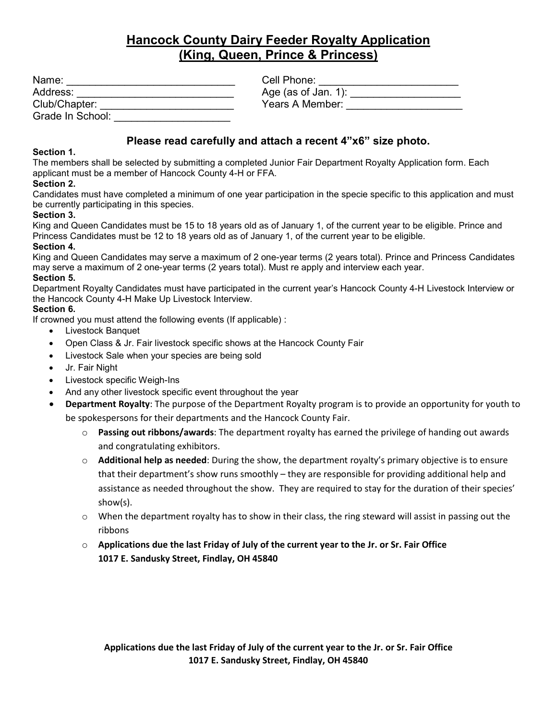# **Hancock County Dairy Feeder Royalty Application (King, Queen, Prince & Princess)**

| Name:            | Cell Phone:         |
|------------------|---------------------|
| Address:         | Age (as of Jan. 1): |
| Club/Chapter:    | Years A Member:     |
| Grade In School: |                     |

## **Please read carefully and attach a recent 4"x6" size photo.**

### **Section 1.**

The members shall be selected by submitting a completed Junior Fair Department Royalty Application form. Each applicant must be a member of Hancock County 4-H or FFA.

### **Section 2.**

Candidates must have completed a minimum of one year participation in the specie specific to this application and must be currently participating in this species.

### **Section 3.**

King and Queen Candidates must be 15 to 18 years old as of January 1, of the current year to be eligible. Prince and Princess Candidates must be 12 to 18 years old as of January 1, of the current year to be eligible.

#### **Section 4.**

King and Queen Candidates may serve a maximum of 2 one-year terms (2 years total). Prince and Princess Candidates may serve a maximum of 2 one-year terms (2 years total). Must re apply and interview each year.

#### **Section 5.**

Department Royalty Candidates must have participated in the current year's Hancock County 4-H Livestock Interview or the Hancock County 4-H Make Up Livestock Interview.

### **Section 6.**

If crowned you must attend the following events (If applicable) :

- Livestock Banquet
- Open Class & Jr. Fair livestock specific shows at the Hancock County Fair
- Livestock Sale when your species are being sold
- Jr. Fair Night
- Livestock specific Weigh-Ins
- And any other livestock specific event throughout the year
- **Department Royalty**: The purpose of the Department Royalty program is to provide an opportunity for youth to be spokespersons for their departments and the Hancock County Fair.
	- o **Passing out ribbons/awards**: The department royalty has earned the privilege of handing out awards and congratulating exhibitors.
	- o **Additional help as needed**: During the show, the department royalty's primary objective is to ensure that their department's show runs smoothly – they are responsible for providing additional help and assistance as needed throughout the show. They are required to stay for the duration of their species' show(s).
	- $\circ$  When the department royalty has to show in their class, the ring steward will assist in passing out the ribbons
	- o **Applications due the last Friday of July of the current year to the Jr. or Sr. Fair Office 1017 E. Sandusky Street, Findlay, OH 45840**

**Applications due the last Friday of July of the current year to the Jr. or Sr. Fair Office 1017 E. Sandusky Street, Findlay, OH 45840**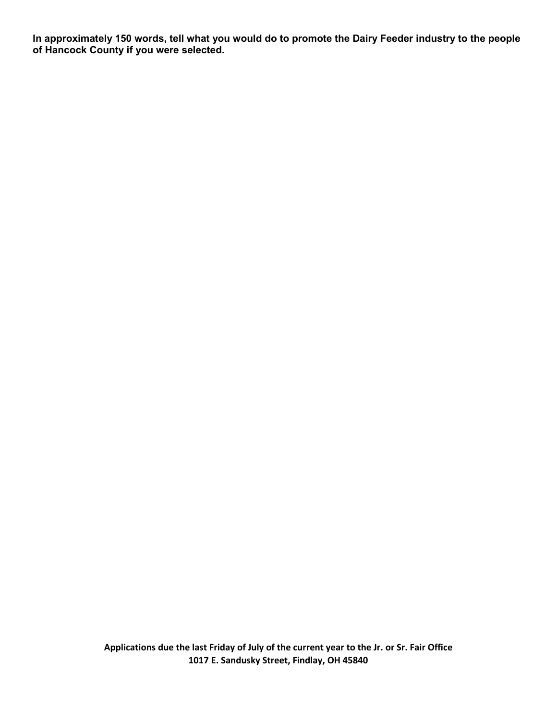**In approximately 150 words, tell what you would do to promote the Dairy Feeder industry to the people of Hancock County if you were selected.** 

> **Applications due the last Friday of July of the current year to the Jr. or Sr. Fair Office 1017 E. Sandusky Street, Findlay, OH 45840**